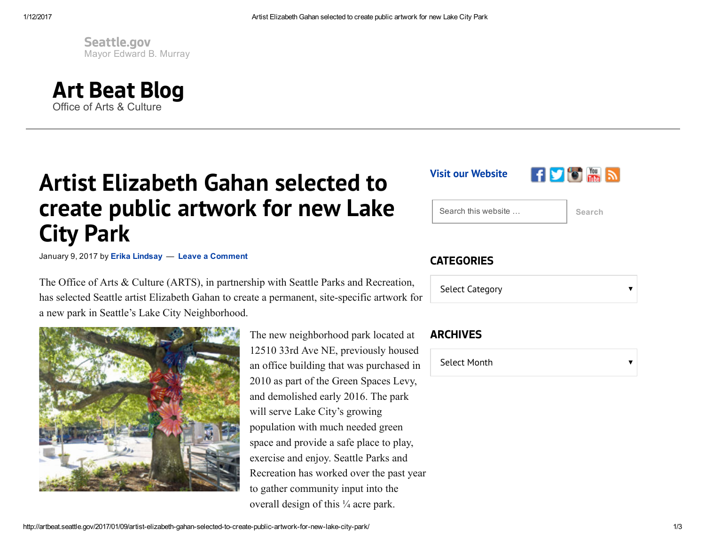Mayor Edward B. Murray [Seattle.gov](http://seattle.gov/)



## Artist Elizabeth Gahan selected to create public artwork for new Lake City Park

January 9, 2017 by Erika [Lindsay](http://artbeat.seattle.gov/author/lindsae/) - Leave a Comment

The Office of Arts & Culture (ARTS), in partnership with Seattle Parks and Recreation, has selected Seattle artist Elizabeth Gahan to create a permanent, site-specific artwork for a new park in Seattle's Lake City Neighborhood.



The new neighborhood park located at 12510 33rd Ave NE, previously housed an office building that was purchased in 2010 as part of the Green Spaces Levy, and demolished early 2016. The park will serve Lake City's growing population with much needed green space and provide a safe place to play, exercise and enjoy. Seattle Parks and Recreation has worked over the past year to gather community input into the overall design of this ¼ acre park.

Visit our [Website](http://www.seattle.gov/arts/)



Search this website … Search

## **CATEGORIES**

Select Category

## ARCHIVES

Select Month  $\overline{\mathbf{v}}$